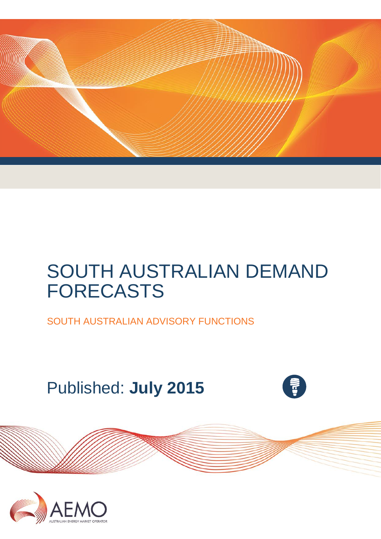

# SOUTH AUSTRALIAN DEMAND FORECASTS

SOUTH AUSTRALIAN ADVISORY FUNCTIONS

Published: **July 2015**





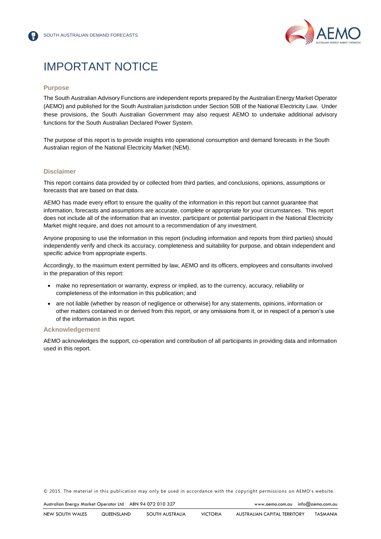

# IMPORTANT NOTICE

#### **Purpose**

The South Australian Advisory Functions are independent reports prepared by the Australian Energy Market Operator (AEMO) and published for the South Australian jurisdiction under Section 50B of the National Electricity Law. Under these provisions, the South Australian Government may also request AEMO to undertake additional advisory functions for the South Australian Declared Power System.

The purpose of this report is to provide insights into operational consumption and demand forecasts in the South Australian region of the National Electricity Market (NEM).

#### **Disclaimer**

This report contains data provided by or collected from third parties, and conclusions, opinions, assumptions or forecasts that are based on that data.

AEMO has made every effort to ensure the quality of the information in this report but cannot guarantee that information, forecasts and assumptions are accurate, complete or appropriate for your circumstances. This report does not include all of the information that an investor, participant or potential participant in the National Electricity Market might require, and does not amount to a recommendation of any investment.

Anyone proposing to use the information in this report (including information and reports from third parties) should independently verify and check its accuracy, completeness and suitability for purpose, and obtain independent and specific advice from appropriate experts.

Accordingly, to the maximum extent permitted by law, AEMO and its officers, employees and consultants involved in the preparation of this report:

- make no representation or warranty, express or implied, as to the currency, accuracy, reliability or completeness of the information in this publication; and
- are not liable (whether by reason of negligence or otherwise) for any statements, opinions, information or other matters contained in or derived from this report, or any omissions from it, or in respect of a person's use of the information in this report.

#### **Acknowledgement**

AEMO acknowledges the support, co-operation and contribution of all participants in providing data and information used in this report.

© 2015. The material in this publication may only be used in accordance with the [copyright permissions](http://www.aemo.com.au/en/About-AEMO/Copyright-Permissions) on AEMO's website.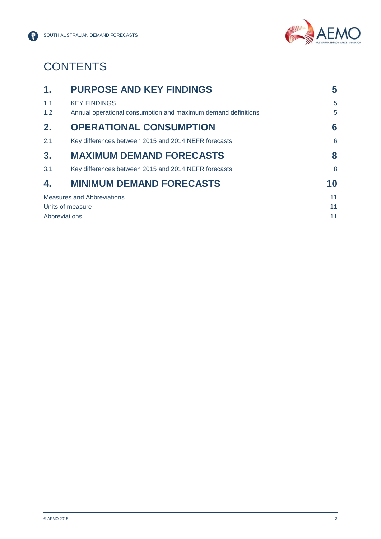



# **CONTENTS**

| 1.               | <b>PURPOSE AND KEY FINDINGS</b>                               | 5  |
|------------------|---------------------------------------------------------------|----|
| 1.1              | <b>KEY FINDINGS</b>                                           | 5  |
| 1.2              | Annual operational consumption and maximum demand definitions | 5  |
| 2.               | <b>OPERATIONAL CONSUMPTION</b>                                | 6  |
| 2.1              | Key differences between 2015 and 2014 NEFR forecasts          | 6  |
| 3.               | <b>MAXIMUM DEMAND FORECASTS</b>                               | 8  |
| 3.1              | Key differences between 2015 and 2014 NEFR forecasts          | 8  |
| 4.               | <b>MINIMUM DEMAND FORECASTS</b>                               | 10 |
|                  | <b>Measures and Abbreviations</b>                             | 11 |
| Units of measure |                                                               | 11 |
|                  | Abbreviations                                                 | 11 |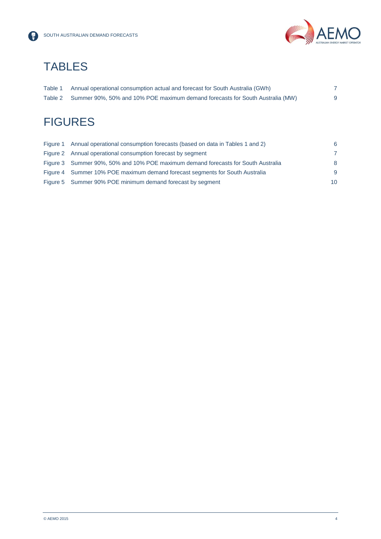

# **TABLES**

| Table 1 | Annual operational consumption actual and forecast for South Australia (GWh)  |  |
|---------|-------------------------------------------------------------------------------|--|
| Table 2 | Summer 90%, 50% and 10% POE maximum demand forecasts for South Australia (MW) |  |

# **FIGURES**

| Figure 1 Annual operational consumption forecasts (based on data in Tables 1 and 2) | 6  |
|-------------------------------------------------------------------------------------|----|
| Figure 2 Annual operational consumption forecast by segment                         | -7 |
| Figure 3 Summer 90%, 50% and 10% POE maximum demand forecasts for South Australia   | 8  |
| Figure 4 Summer 10% POE maximum demand forecast segments for South Australia        | -9 |
| Figure 5 Summer 90% POE minimum demand forecast by segment                          | 10 |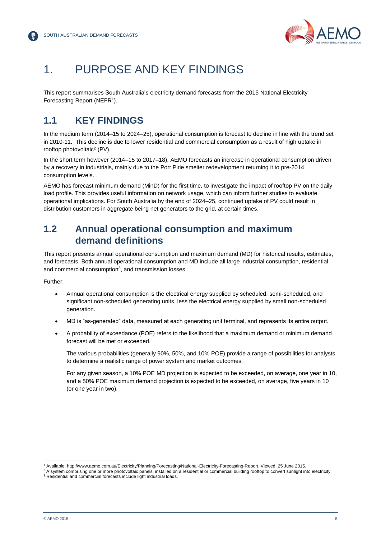

# <span id="page-4-0"></span>1. PURPOSE AND KEY FINDINGS

This report summarises South Australia's electricity demand forecasts from the 2015 National Electricity Forecasting Report (NEFR<sup>1</sup>).

### <span id="page-4-1"></span>**1.1 KEY FINDINGS**

In the medium term (2014–15 to 2024–25), operational consumption is forecast to decline in line with the trend set in 2010-11. This decline is due to lower residential and commercial consumption as a result of high uptake in rooftop photovoltaic<sup>2</sup> (PV).

In the short term however (2014–15 to 2017–18), AEMO forecasts an increase in operational consumption driven by a recovery in industrials, mainly due to the Port Pirie smelter redevelopment returning it to pre-2014 consumption levels.

AEMO has forecast minimum demand (MinD) for the first time, to investigate the impact of rooftop PV on the daily load profile. This provides useful information on network usage, which can inform further studies to evaluate operational implications. For South Australia by the end of 2024–25, continued uptake of PV could result in distribution customers in aggregate being net generators to the grid, at certain times.

### <span id="page-4-2"></span>**1.2 Annual operational consumption and maximum demand definitions**

This report presents annual operational consumption and maximum demand (MD) for historical results, estimates, and forecasts. Both annual operational consumption and MD include all large industrial consumption, residential and commercial consumption<sup>3</sup>, and transmission losses.

Further:

- Annual operational consumption is the electrical energy supplied by scheduled, semi-scheduled, and significant non-scheduled generating units, less the electrical energy supplied by small non-scheduled generation.
- MD is "as-generated" data, measured at each generating unit terminal, and represents its entire output.
- A probability of exceedance (POE) refers to the likelihood that a maximum demand or minimum demand forecast will be met or exceeded.

The various probabilities (generally 90%, 50%, and 10% POE) provide a range of possibilities for analysts to determine a realistic range of power system and market outcomes.

For any given season, a 10% POE MD projection is expected to be exceeded, on average, one year in 10, and a 50% POE maximum demand projection is expected to be exceeded, on average, five years in 10 (or one year in two).

l

<sup>1</sup> Available: http://www.aemo.com.au/Electricity/Planning/Forecasting/National-Electricity-Forecasting-Report. Viewed: 25 June 2015.

<sup>&</sup>lt;sup>2</sup> A system comprising one or more photovoltaic panels, installed on a residential or commercial building rooftop to convert sunlight into electricity.

<sup>&</sup>lt;sup>3</sup> Residential and commercial forecasts include light industrial loads.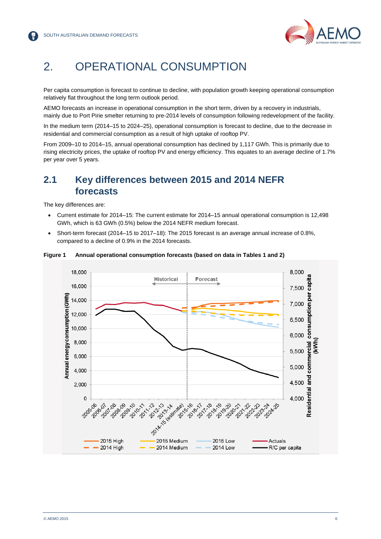

# <span id="page-5-0"></span>2. OPERATIONAL CONSUMPTION

Per capita consumption is forecast to continue to decline, with population growth keeping operational consumption relatively flat throughout the long term outlook period.

AEMO forecasts an increase in operational consumption in the short term, driven by a recovery in industrials, mainly due to Port Pirie smelter returning to pre-2014 levels of consumption following redevelopment of the facility.

In the medium term (2014–15 to 2024–25), operational consumption is forecast to decline, due to the decrease in residential and commercial consumption as a result of high uptake of rooftop PV.

From 2009–10 to 2014–15, annual operational consumption has declined by 1,117 GWh. This is primarily due to rising electricity prices, the uptake of rooftop PV and energy efficiency. This equates to an average decline of 1.7% per year over 5 years.

### <span id="page-5-1"></span>**2.1 Key differences between 2015 and 2014 NEFR forecasts**

The key differences are:

- Current estimate for 2014–15: The current estimate for 2014–15 annual operational consumption is 12,498 GWh, which is 63 GWh (0.5%) below the 2014 NEFR medium forecast.
- Short-term forecast (2014–15 to 2017–18): The 2015 forecast is an average annual increase of 0.8%, compared to a decline of 0.9% in the 2014 forecasts.



#### <span id="page-5-2"></span>**Figure 1 Annual operational consumption forecasts (based on data in Tables 1 and 2)**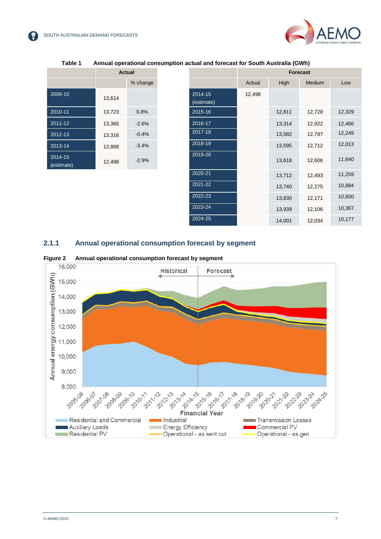

<span id="page-6-0"></span>

|                       | Actual |          |  |
|-----------------------|--------|----------|--|
|                       |        | % change |  |
| $2009 - 10$           | 13,614 |          |  |
| 2010-11               | 13,723 | 0.8%     |  |
| 2011-12               | 13,365 | $-2.6%$  |  |
| $2012 - 13$           | 13.316 | $-0.4%$  |  |
| 2013-14               | 12,868 | $-3.4%$  |  |
| 2014-15<br>(estimate) | 12,498 | $-2.9%$  |  |

#### **Table 1 Annual operational consumption actual and forecast for South Australia (GWh)**

|                       | <b>Actual</b> |          |                       | <b>Forecast</b> |             |               |
|-----------------------|---------------|----------|-----------------------|-----------------|-------------|---------------|
|                       |               | % change |                       | Actual          | <b>High</b> | <b>Medium</b> |
| 2009-10               | 13,614        |          | 2014-15<br>(estimate) | 12,498          |             |               |
| 2010-11               | 13,723        | 0.8%     | 2015-16               |                 | 12,811      | 12,728        |
| 2011-12               | 13,365        | $-2.6%$  | 2016-17               |                 | 13,314      | 12,922        |
| 2012-13               | 13.316        | $-0.4%$  | 2017-18               |                 | 13,582      | 12,797        |
| 2013-14               | 12,868        | $-3.4%$  | 2018-19               |                 | 13,595      | 12,712        |
| 2014-15<br>(estimate) | 12,498        | $-2.9%$  | 2019-20               |                 | 13,618      | 12,606        |
|                       |               |          | 2020-21               |                 | 13,712      | 12,493        |
|                       |               |          | 2021-22               |                 | 13,740      | 12,275        |
|                       |               |          | 2022-23               |                 | 13,830      | 12,171        |
|                       |               |          | 2023-24               |                 | 13,939      | 12,106        |
|                       |               |          | 2024-25               |                 | 14,001      | 12,034        |
|                       |               |          |                       |                 |             |               |

#### **2.1.1 Annual operational consumption forecast by segment**



<span id="page-6-1"></span>**Figure 2 Annual operational consumption forecast by segment**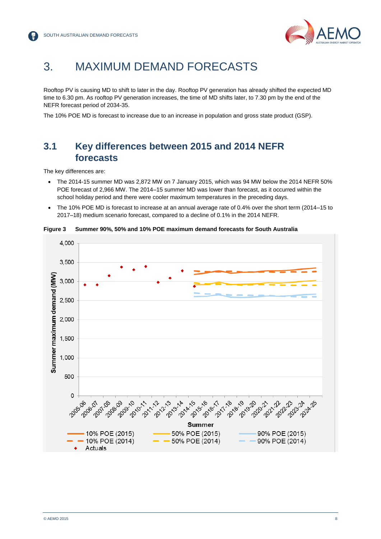

### <span id="page-7-0"></span>3. MAXIMUM DEMAND FORECASTS

Rooftop PV is causing MD to shift to later in the day. Rooftop PV generation has already shifted the expected MD time to 6.30 pm. As rooftop PV generation increases, the time of MD shifts later, to 7.30 pm by the end of the NEFR forecast period of 2034-35.

The 10% POE MD is forecast to increase due to an increase in population and gross state product (GSP).

### <span id="page-7-1"></span>**3.1 Key differences between 2015 and 2014 NEFR forecasts**

The key differences are:

- The 2014-15 summer MD was 2,872 MW on 7 January 2015, which was 94 MW below the 2014 NEFR 50% POE forecast of 2,966 MW. The 2014–15 summer MD was lower than forecast, as it occurred within the school holiday period and there were cooler maximum temperatures in the preceding days.
- The 10% POE MD is forecast to increase at an annual average rate of 0.4% over the short term (2014–15 to 2017–18) medium scenario forecast, compared to a decline of 0.1% in the 2014 NEFR.



<span id="page-7-2"></span>**Figure 3 Summer 90%, 50% and 10% POE maximum demand forecasts for South Australia**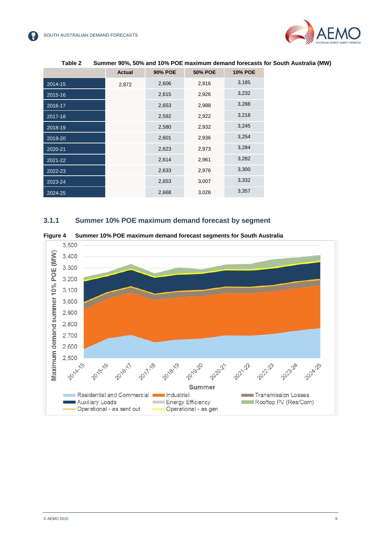

<span id="page-8-0"></span>

|             | <b>Actual</b> | <b>90% POE</b> | <b>50% POE</b> | <b>10% POE</b> |
|-------------|---------------|----------------|----------------|----------------|
| 2014-15     | 2,872         | 2,606          | 2,916          | 3,185          |
| 2015-16     |               | 2,615          | 2,926          | 3,232          |
| 2016-17     |               | 2,653          | 2,988          | 3,288          |
| 2017-18     |               | 2,592          | 2,922          | 3,218          |
| 2018-19     |               | 2,580          | 2,932          | 3,245          |
| 2019-20     |               | 2,601          | 2,936          | 3,254          |
| 2020-21     |               | 2,623          | 2,973          | 3,284          |
| $2021 - 22$ |               | 2,614          | 2,961          | 3,282          |
| 2022-23     |               | 2,633          | 2,976          | 3,300          |
| 2023-24     |               | 2,653          | 3,007          | 3,332          |
| 2024-25     |               | 2,668          | 3,026          | 3,357          |

#### **Table 2 Summer 90%, 50% and 10% POE maximum demand forecasts for South Australia (MW)**

#### **3.1.1 Summer 10% POE maximum demand forecast by segment**

<span id="page-8-1"></span>

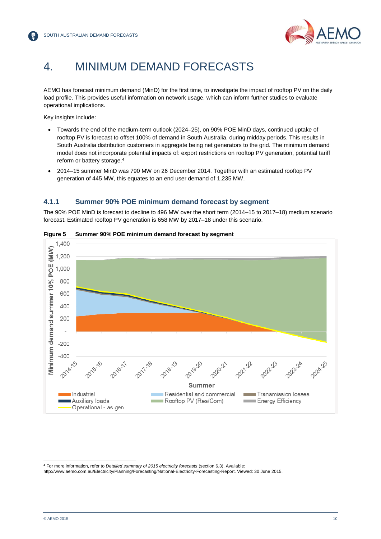

# <span id="page-9-0"></span>4. MINIMUM DEMAND FORECASTS

AEMO has forecast minimum demand (MinD) for the first time, to investigate the impact of rooftop PV on the daily load profile. This provides useful information on network usage, which can inform further studies to evaluate operational implications.

Key insights include:

- Towards the end of the medium-term outlook (2024–25), on 90% POE MinD days, continued uptake of rooftop PV is forecast to offset 100% of demand in South Australia, during midday periods. This results in South Australia distribution customers in aggregate being net generators to the grid. The minimum demand model does not incorporate potential impacts of: export restrictions on rooftop PV generation, potential tariff reform or battery storage.<sup>4</sup>
- 2014–15 summer MinD was 790 MW on 26 December 2014. Together with an estimated rooftop PV generation of 445 MW, this equates to an end user demand of 1,235 MW.

#### **4.1.1 Summer 90% POE minimum demand forecast by segment**

The 90% POE MinD is forecast to decline to 496 MW over the short term (2014–15 to 2017–18) medium scenario forecast. Estimated rooftop PV generation is 658 MW by 2017–18 under this scenario.



#### <span id="page-9-1"></span>**Figure 5 Summer 90% POE minimum demand forecast by segment**

l

<sup>4</sup> For more information, refer to *[Detailed summary of 2015 electricity forecasts](http://www.aemo.com.au/Electricity/Planning/Forecasting/~/media/Files/Electricity/Planning/Reports/NEFR/2015/Detailed%20summary%20of%202015%20electricity%20forecasts.ashx)* (section 6.3). Available:

[http://www.aemo.com.au/Electricity/Planning/Forecasting/National-Electricity-Forecasting-Report.](http://www.aemo.com.au/Electricity/Planning/Forecasting/National-Electricity-Forecasting-Report) Viewed: 30 June 2015.